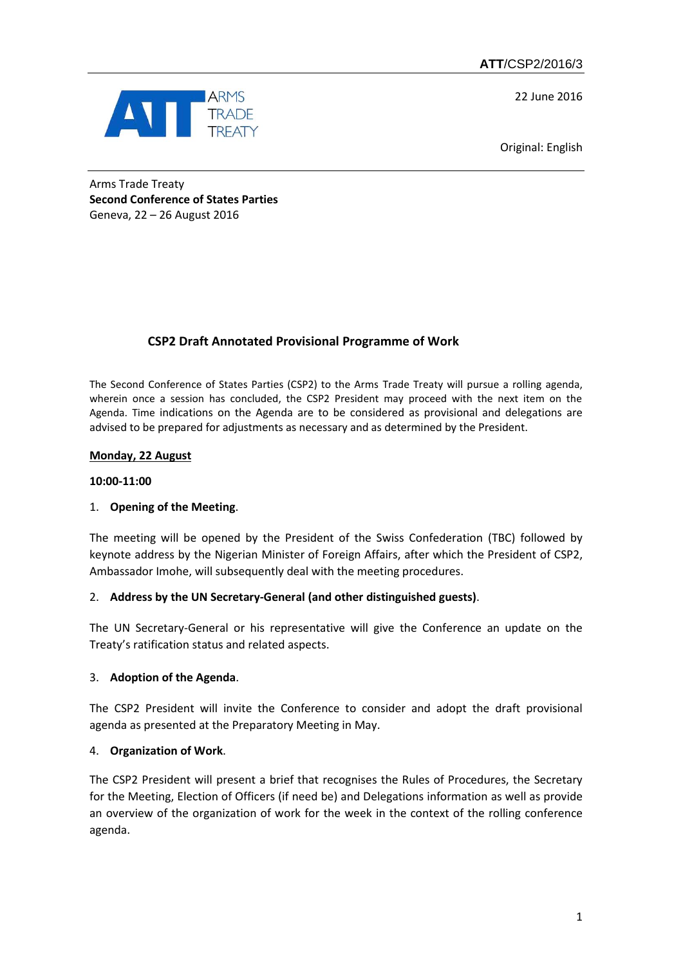**ATT**/CSP2/2016/3

22 June 2016



Original: English

Arms Trade Treaty **Second Conference of States Parties** Geneva, 22 – 26 August 2016

# **CSP2 Draft Annotated Provisional Programme of Work**

The Second Conference of States Parties (CSP2) to the Arms Trade Treaty will pursue a rolling agenda, wherein once a session has concluded, the CSP2 President may proceed with the next item on the Agenda. Time indications on the Agenda are to be considered as provisional and delegations are advised to be prepared for adjustments as necessary and as determined by the President.

# **Monday, 22 August**

### **10:00-11:00**

# 1. **Opening of the Meeting**.

The meeting will be opened by the President of the Swiss Confederation (TBC) followed by keynote address by the Nigerian Minister of Foreign Affairs, after which the President of CSP2, Ambassador Imohe, will subsequently deal with the meeting procedures.

# 2. **Address by the UN Secretary-General (and other distinguished guests)**.

The UN Secretary-General or his representative will give the Conference an update on the Treaty's ratification status and related aspects.

# 3. **Adoption of the Agenda**.

The CSP2 President will invite the Conference to consider and adopt the draft provisional agenda as presented at the Preparatory Meeting in May.

# 4. **Organization of Work**.

The CSP2 President will present a brief that recognises the Rules of Procedures, the Secretary for the Meeting, Election of Officers (if need be) and Delegations information as well as provide an overview of the organization of work for the week in the context of the rolling conference agenda.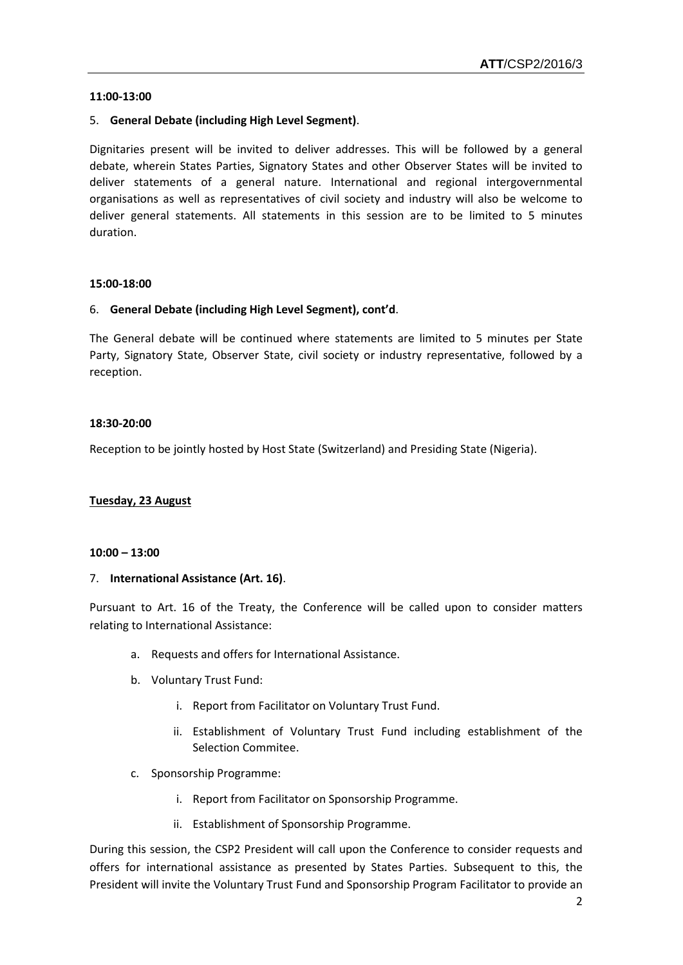#### **11:00-13:00**

### 5. **General Debate (including High Level Segment)**.

Dignitaries present will be invited to deliver addresses. This will be followed by a general debate, wherein States Parties, Signatory States and other Observer States will be invited to deliver statements of a general nature. International and regional intergovernmental organisations as well as representatives of civil society and industry will also be welcome to deliver general statements. All statements in this session are to be limited to 5 minutes duration.

#### **15:00-18:00**

#### 6. **General Debate (including High Level Segment), cont'd**.

The General debate will be continued where statements are limited to 5 minutes per State Party, Signatory State, Observer State, civil society or industry representative, followed by a reception.

#### **18:30-20:00**

Reception to be jointly hosted by Host State (Switzerland) and Presiding State (Nigeria).

#### **Tuesday, 23 August**

#### **10:00 – 13:00**

#### 7. **International Assistance (Art. 16)**.

Pursuant to Art. 16 of the Treaty, the Conference will be called upon to consider matters relating to International Assistance:

- a. Requests and offers for International Assistance.
- b. Voluntary Trust Fund:
	- i. Report from Facilitator on Voluntary Trust Fund.
	- ii. Establishment of Voluntary Trust Fund including establishment of the Selection Commitee.
- c. Sponsorship Programme:
	- i. Report from Facilitator on Sponsorship Programme.
	- ii. Establishment of Sponsorship Programme.

During this session, the CSP2 President will call upon the Conference to consider requests and offers for international assistance as presented by States Parties. Subsequent to this, the President will invite the Voluntary Trust Fund and Sponsorship Program Facilitator to provide an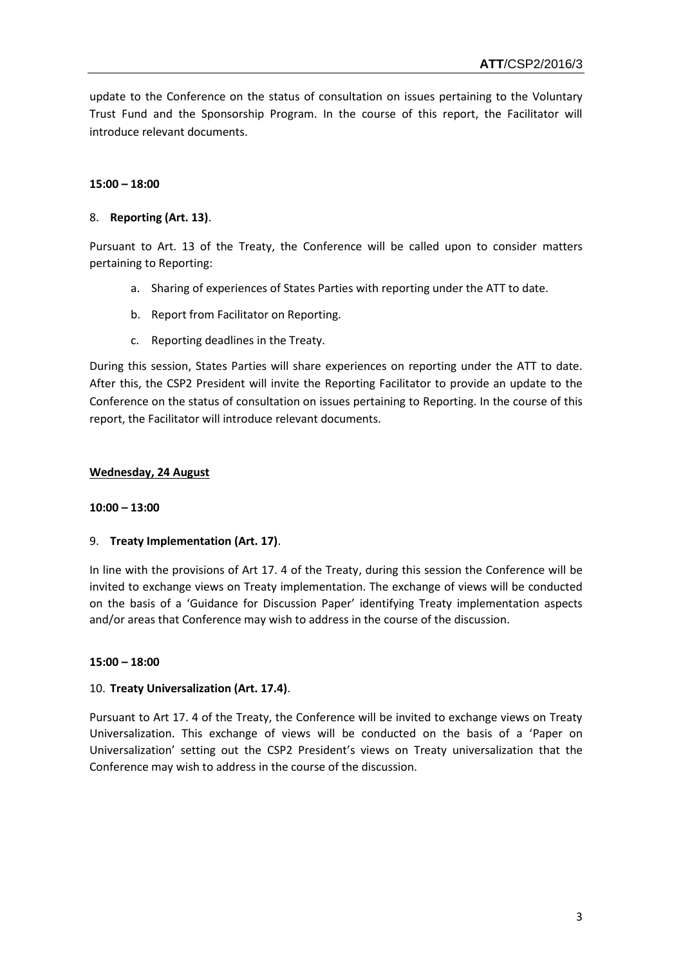update to the Conference on the status of consultation on issues pertaining to the Voluntary Trust Fund and the Sponsorship Program. In the course of this report, the Facilitator will introduce relevant documents.

# **15:00 – 18:00**

### 8. **Reporting (Art. 13)**.

Pursuant to Art. 13 of the Treaty, the Conference will be called upon to consider matters pertaining to Reporting:

- a. Sharing of experiences of States Parties with reporting under the ATT to date.
- b. Report from Facilitator on Reporting.
- c. Reporting deadlines in the Treaty.

During this session, States Parties will share experiences on reporting under the ATT to date. After this, the CSP2 President will invite the Reporting Facilitator to provide an update to the Conference on the status of consultation on issues pertaining to Reporting. In the course of this report, the Facilitator will introduce relevant documents.

#### **Wednesday, 24 August**

#### **10:00 – 13:00**

# 9. **Treaty Implementation (Art. 17)**.

In line with the provisions of Art 17. 4 of the Treaty, during this session the Conference will be invited to exchange views on Treaty implementation. The exchange of views will be conducted on the basis of a 'Guidance for Discussion Paper' identifying Treaty implementation aspects and/or areas that Conference may wish to address in the course of the discussion.

#### **15:00 – 18:00**

#### 10. **Treaty Universalization (Art. 17.4)**.

Pursuant to Art 17. 4 of the Treaty, the Conference will be invited to exchange views on Treaty Universalization. This exchange of views will be conducted on the basis of a 'Paper on Universalization' setting out the CSP2 President's views on Treaty universalization that the Conference may wish to address in the course of the discussion.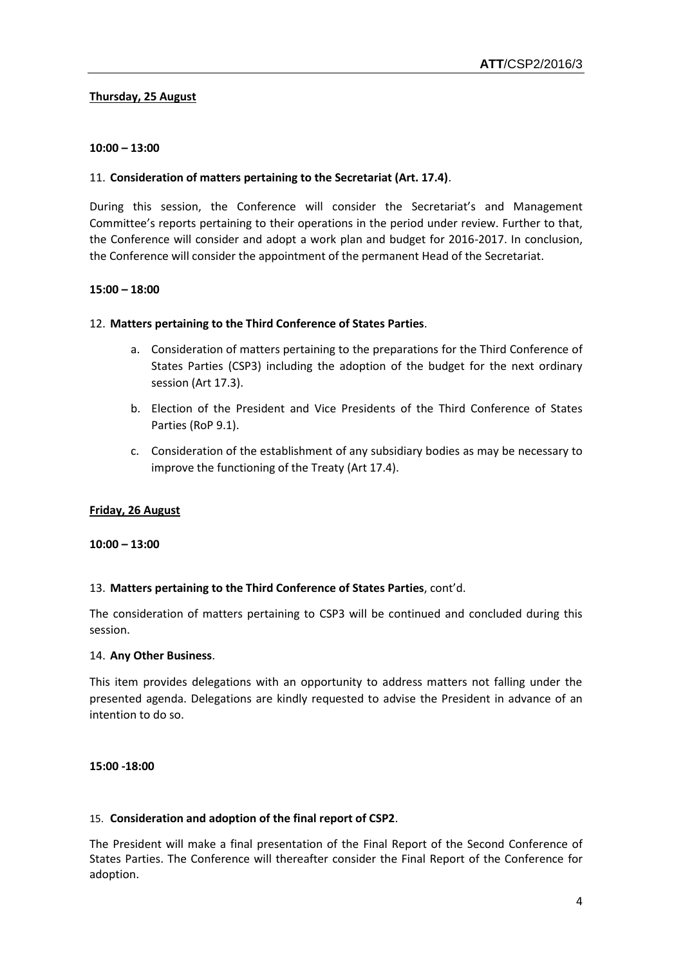### **Thursday, 25 August**

### **10:00 – 13:00**

### 11. **Consideration of matters pertaining to the Secretariat (Art. 17.4)**.

During this session, the Conference will consider the Secretariat's and Management Committee's reports pertaining to their operations in the period under review. Further to that, the Conference will consider and adopt a work plan and budget for 2016-2017. In conclusion, the Conference will consider the appointment of the permanent Head of the Secretariat.

### **15:00 – 18:00**

### 12. **Matters pertaining to the Third Conference of States Parties**.

- a. Consideration of matters pertaining to the preparations for the Third Conference of States Parties (CSP3) including the adoption of the budget for the next ordinary session (Art 17.3).
- b. Election of the President and Vice Presidents of the Third Conference of States Parties (RoP 9.1).
- c. Consideration of the establishment of any subsidiary bodies as may be necessary to improve the functioning of the Treaty (Art 17.4).

# **Friday, 26 August**

#### **10:00 – 13:00**

#### 13. **Matters pertaining to the Third Conference of States Parties**, cont'd.

The consideration of matters pertaining to CSP3 will be continued and concluded during this session.

#### 14. **Any Other Business**.

This item provides delegations with an opportunity to address matters not falling under the presented agenda. Delegations are kindly requested to advise the President in advance of an intention to do so.

#### **15:00 -18:00**

#### 15. **Consideration and adoption of the final report of CSP2**.

The President will make a final presentation of the Final Report of the Second Conference of States Parties. The Conference will thereafter consider the Final Report of the Conference for adoption.